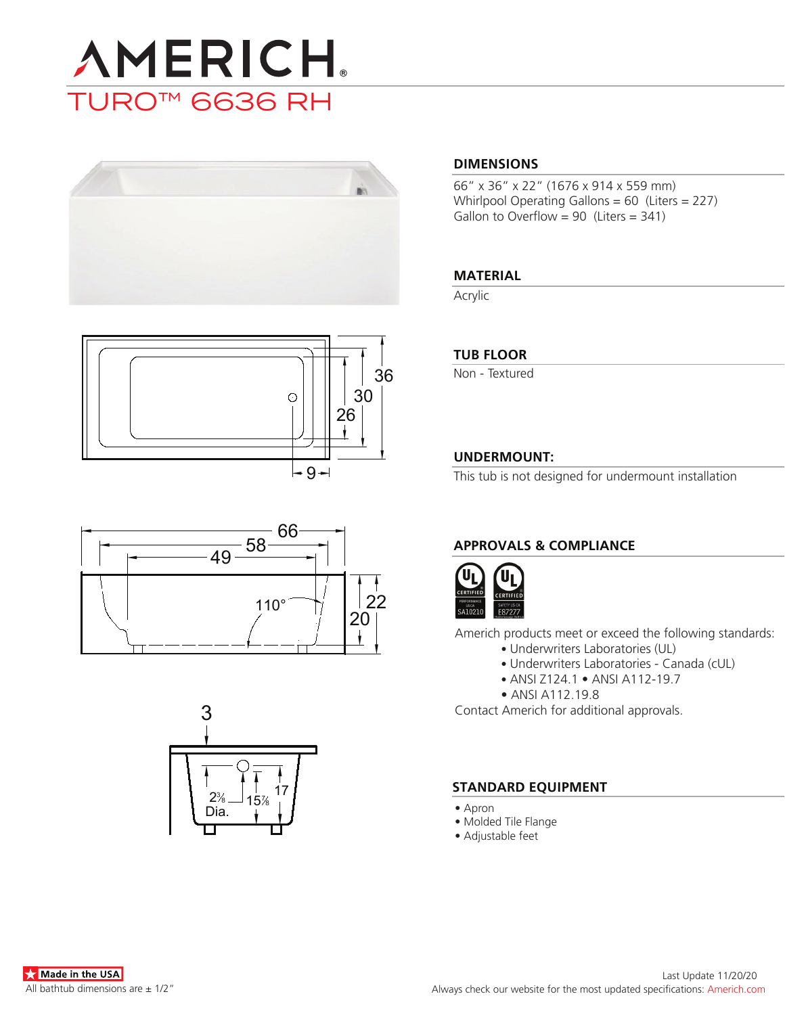









### **DIMENSIONS**

66" x 36" x 22" (1676 x 914 x 559 mm) Whirlpool Operating Gallons = 60 (Liters = 227) Gallon to Overflow =  $90$  (Liters =  $341$ )

# **MATERIAL**

Acrylic

# **TUB FLOOR**

Non - Textured

# **UNDERMOUNT:**

This tub is not designed for undermount installation

# **APPROVALS & COMPLIANCE**



Americh products meet or exceed the following standards:

- Underwriters Laboratories (UL)
	- Underwriters Laboratories Canada (cUL)
	- ANSI Z124.1 ANSI A112-19.7
- ANSI A112.19.8

Contact Americh for additional approvals.

# **STANDARD EQUIPMENT**

- Apron
- Molded Tile Flange
- Adjustable feet